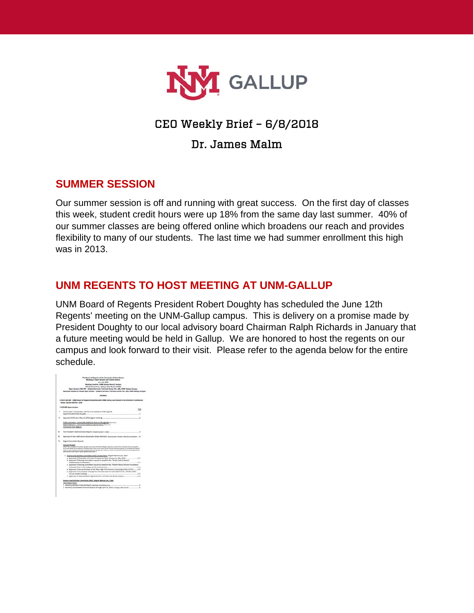

# CEO Weekly Brief – 6/8/2018

## Dr. James Malm

### **SUMMER SESSION**

Our summer session is off and running with great success. On the first day of classes this week, student credit hours were up 18% from the same day last summer. 40% of our summer classes are being offered online which broadens our reach and provides flexibility to many of our students. The last time we had summer enrollment this high was in 2013.

### **UNM REGENTS TO HOST MEETING AT UNM-GALLUP**

UNM Board of Regents President Robert Doughty has scheduled the June 12th Regents' meeting on the UNM-Gallup campus. This is delivery on a promise made by President Doughty to our local advisory board Chairman Ralph Richards in January that a future meeting would be held in Gallup. We are honored to host the regents on our campus and look forward to their visit. Please refer to the agenda below for the entire schedule.

|    | Meeting in Open Section and Closed Section                                                                                                                                                                                                                                                         |           |
|----|----------------------------------------------------------------------------------------------------------------------------------------------------------------------------------------------------------------------------------------------------------------------------------------------------|-----------|
|    | June 13, 2018                                                                                                                                                                                                                                                                                      |           |
|    | Meeting Location: UNM Gallan Branch Campus                                                                                                                                                                                                                                                         |           |
|    | 703 Gurley Avenue, Gallop, New Mexico 67301.                                                                                                                                                                                                                                                       |           |
|    | Open Insalus 9:30 AM - Student Services Technical Center Rm. 250, UNM Gallup Campus                                                                                                                                                                                                                |           |
|    | Executive Session to follow Open Session - Student Services Technical Center Am. 200, UNIM Gallup Camp                                                                                                                                                                                             |           |
|    | <b>AGENDA</b>                                                                                                                                                                                                                                                                                      |           |
|    | . \$145-9:30 AM - UNM Board of Regents Breakfurt with UNM Gellus Local Board in the Director's Conference                                                                                                                                                                                          |           |
|    | Room, Gurley Hall Rm. 1216                                                                                                                                                                                                                                                                         |           |
|    | . 9:30 AM Owen Sexslow.                                                                                                                                                                                                                                                                            |           |
|    |                                                                                                                                                                                                                                                                                                    | 568       |
| t. | Eal fo Drder, Conformation of a Guerum, Adoption of the Agenda                                                                                                                                                                                                                                     |           |
|    | <b>Brown President Bob Doughly.</b>                                                                                                                                                                                                                                                                |           |
|    | Approved of Minutes: May 11, 2018 regular meeting                                                                                                                                                                                                                                                  |           |
|    | Fullile Comment : comments related to Rome on the agenda invertise (                                                                                                                                                                                                                               |           |
|    | Regent Advisors - comments related to agenda fiering (we line)                                                                                                                                                                                                                                     |           |
|    | Clammatolic Trivit, Beganity                                                                                                                                                                                                                                                                       |           |
| m. | The President's Administrative Rajorit, Aussien (smen) 1 Index                                                                                                                                                                                                                                     | ż         |
| N. | Approved of new UNA Alumni Accoration Board Mondatt, rand Leaser Project painting and                                                                                                                                                                                                              |           |
|    |                                                                                                                                                                                                                                                                                                    |           |
| Ÿ. | <b>Regard Committee Regards</b>                                                                                                                                                                                                                                                                    |           |
|    | Consent Socket                                                                                                                                                                                                                                                                                     |           |
|    | Notice National Migrater's fluentifilms approach stage stress for the Board of Regards' specialist as convent theirs. Burdeline theirs and allowed up<br>the connect during the trainer than controlling chiefs, there are the connect during marked students approved to constitue, our financial |           |
|    | Folloy 1.1, "they meeting up the board of Experim shot more the alpha upon mayable on remove you than from host in a board is compate operate and<br>plays the met an the dealers regular against the discussion."                                                                                 |           |
|    | 1. Finance and Eaclides Committee (F&F) Conceit Issue, Angelet Marron Lee, Check                                                                                                                                                                                                                   |           |
|    | a. Approval of Disposition of Surgius Frogerty for Main Campus for May 2008                                                                                                                                                                                                                        | Æ4        |
|    | b. Approval of Naning Constitution request to autublish the, "Guide Daub Endowed                                                                                                                                                                                                                   |           |
|    | instessantic is Chemistry'.                                                                                                                                                                                                                                                                        | C/E       |
|    | c. Approval of Naming committee request to astabilish the. "Kobert Wood Johnson Foundation                                                                                                                                                                                                         |           |
|    | Endinged Chas in the College of Arts and Sciences".                                                                                                                                                                                                                                                | C/E       |
|    | 6. Approval of Annual Renewal of the Maur High Performance Computing Center (HPCC)  C-4.                                                                                                                                                                                                           |           |
|    | e. Approval of Termination of Ling Term Ground Lease for 1111 Stanford Dr., NE (Bernalthe<br>County Health Building)                                                                                                                                                                               | P.K.      |
|    | 1. Associal of Harwood Brand Aspozations and Ehan and Ministe Dosson                                                                                                                                                                                                                               | <b>CA</b> |
|    | Finance and Facilities Committee (F&F), Regent Macun Lee, Chatt                                                                                                                                                                                                                                    |           |
|    | <b>Note of press</b>                                                                                                                                                                                                                                                                               |           |
|    | 1. Monthly Athletics Financial Resort, naty subs the formula was com-                                                                                                                                                                                                                              | s         |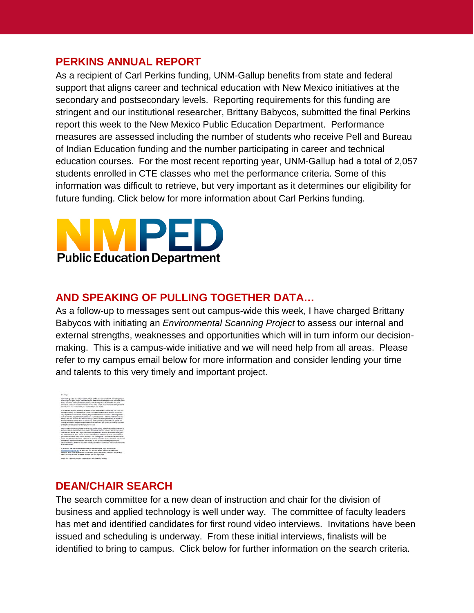#### **PERKINS ANNUAL REPORT**

As a recipient of Carl Perkins funding, UNM-Gallup benefits from state and federal support that aligns career and technical education with New Mexico initiatives at the secondary and postsecondary levels. Reporting requirements for this funding are stringent and our institutional researcher, Brittany Babycos, submitted the final Perkins report this week to the New Mexico Public Education Department. Performance measures are assessed including the number of students who receive Pell and Bureau of Indian Education funding and the number participating in career and technical education courses. For the most recent reporting year, UNM-Gallup had a total of 2,057 students enrolled in CTE classes who met the performance criteria. Some of this information was difficult to retrieve, but very important as it determines our eligibility for future funding. Click below for more information about Carl Perkins funding.



## **AND SPEAKING OF PULLING TOGETHER DATA…**

As a follow-up to messages sent out campus-wide this week, I have charged Brittany Babycos with initiating an *Environmental Scanning Project* to assess our internal and external strengths, weaknesses and opportunities which will in turn inform our decisionmaking. This is a campus-wide initiative and we will need help from all areas. Please refer to my campus email below for more information and consider lending your time and talents to this very timely and important project.



#### **DEAN/CHAIR SEARCH**

The search committee for a new dean of instruction and chair for the division of business and applied technology is well under way. The committee of faculty leaders has met and identified candidates for first round video interviews. Invitations have been issued and scheduling is underway. From these initial interviews, finalists will be identified to bring to campus. Click below for further information on the search criteria.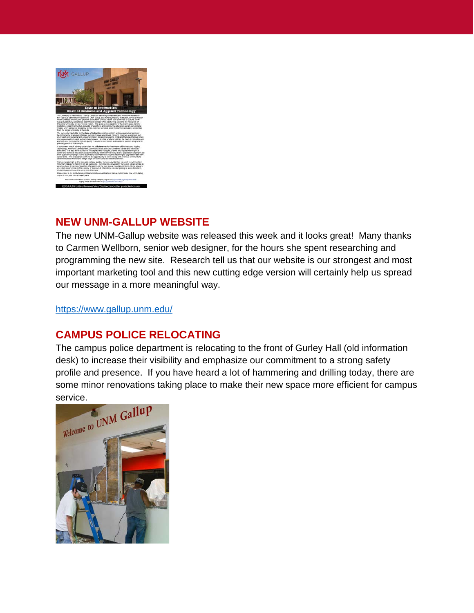

## **NEW UNM-GALLUP WEBSITE**

The new UNM-Gallup website was released this week and it looks great! Many thanks to Carmen Wellborn, senior web designer, for the hours she spent researching and programming the new site. Research tell us that our website is our strongest and most important marketing tool and this new cutting edge version will certainly help us spread our message in a more meaningful way.

<https://www.gallup.unm.edu/>

## **CAMPUS POLICE RELOCATING**

The campus police department is relocating to the front of Gurley Hall (old information desk) to increase their visibility and emphasize our commitment to a strong safety profile and presence. If you have heard a lot of hammering and drilling today, there are some minor renovations taking place to make their new space more efficient for campus

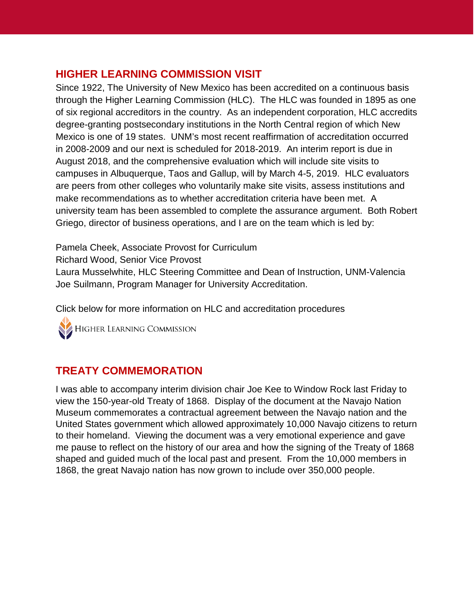## **HIGHER LEARNING COMMISSION VISIT**

Since 1922, The University of New Mexico has been accredited on a continuous basis through the Higher Learning Commission (HLC). The HLC was founded in 1895 as one of six regional accreditors in the country. As an independent corporation, HLC accredits degree-granting postsecondary institutions in the North Central region of which New Mexico is one of 19 states. UNM's most recent reaffirmation of accreditation occurred in 2008-2009 and our next is scheduled for 2018-2019. An interim report is due in August 2018, and the comprehensive evaluation which will include site visits to campuses in Albuquerque, Taos and Gallup, will by March 4-5, 2019. HLC evaluators are peers from other colleges who voluntarily make site visits, assess institutions and make recommendations as to whether accreditation criteria have been met. A university team has been assembled to complete the assurance argument. Both Robert Griego, director of business operations, and I are on the team which is led by:

Pamela Cheek, Associate Provost for Curriculum

Richard Wood, Senior Vice Provost

Laura Musselwhite, HLC Steering Committee and Dean of Instruction, UNM-Valencia Joe Suilmann, Program Manager for University Accreditation.

Click below for more information on HLC and accreditation procedures

HIGHER LEARNING COMMISSION

## **TREATY COMMEMORATION**

I was able to accompany interim division chair Joe Kee to Window Rock last Friday to view the 150-year-old Treaty of 1868. Display of the document at the Navajo Nation Museum commemorates a contractual agreement between the Navajo nation and the United States government which allowed approximately 10,000 Navajo citizens to return to their homeland. Viewing the document was a very emotional experience and gave me pause to reflect on the history of our area and how the signing of the Treaty of 1868 shaped and guided much of the local past and present. From the 10,000 members in 1868, the great Navajo nation has now grown to include over 350,000 people.